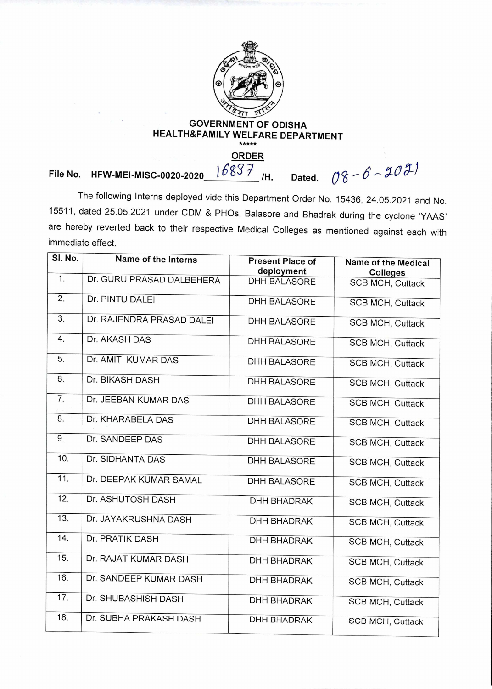

## **GOVERNMENT OF ODISHA HEALTH&FAMILY WELFARE DEPARTMENT**

## $16837$ <sub>IH.</sub>  $08 - 6 - 2021$ **File No. HFW-MEI-MISC-0020-2020\_** $1683$  $\neq$  **/H. Dated.**

The following Interns deployed vide this Department Order No. 15436, 24.05.2021 and No. 15511, dated 25.05.2021 under CDM & PHOs, Balasore and Bhadrak during the cyclone `YAAS' are hereby reverted back to their respective Medical Colleges as mentioned against each with immediate effect.

| SI. No.          | Name of the Interns       | <b>Present Place of</b><br>deployment | Name of the Medical<br><b>Colleges</b> |
|------------------|---------------------------|---------------------------------------|----------------------------------------|
| 1.               | Dr. GURU PRASAD DALBEHERA | <b>DHH BALASORE</b>                   | <b>SCB MCH, Cuttack</b>                |
| $\overline{2}$ . | Dr. PINTU DALEI           | <b>DHH BALASORE</b>                   | <b>SCB MCH, Cuttack</b>                |
| 3.               | Dr. RAJENDRA PRASAD DALEI | <b>DHH BALASORE</b>                   | <b>SCB MCH, Cuttack</b>                |
| 4.               | Dr. AKASH DAS             | <b>DHH BALASORE</b>                   | <b>SCB MCH, Cuttack</b>                |
| 5.               | Dr. AMIT KUMAR DAS        | <b>DHH BALASORE</b>                   | <b>SCB MCH, Cuttack</b>                |
| 6.               | Dr. BIKASH DASH           | <b>DHH BALASORE</b>                   | <b>SCB MCH, Cuttack</b>                |
| 7.               | Dr. JEEBAN KUMAR DAS      | <b>DHH BALASORE</b>                   | <b>SCB MCH, Cuttack</b>                |
| 8.               | Dr. KHARABELA DAS         | <b>DHH BALASORE</b>                   | <b>SCB MCH, Cuttack</b>                |
| 9.               | Dr. SANDEEP DAS           | <b>DHH BALASORE</b>                   | <b>SCB MCH, Cuttack</b>                |
| 10.              | Dr. SIDHANTA DAS          | <b>DHH BALASORE</b>                   | <b>SCB MCH, Cuttack</b>                |
| 11.              | Dr. DEEPAK KUMAR SAMAL    | <b>DHH BALASORE</b>                   | <b>SCB MCH, Cuttack</b>                |
| 12.              | Dr. ASHUTOSH DASH         | <b>DHH BHADRAK</b>                    | <b>SCB MCH, Cuttack</b>                |
| 13.              | Dr. JAYAKRUSHNA DASH      | <b>DHH BHADRAK</b>                    | <b>SCB MCH, Cuttack</b>                |
| 14.              | Dr. PRATIK DASH           | <b>DHH BHADRAK</b>                    | <b>SCB MCH, Cuttack</b>                |
| 15.              | Dr. RAJAT KUMAR DASH      | <b>DHH BHADRAK</b>                    | <b>SCB MCH, Cuttack</b>                |
| 16.              | Dr. SANDEEP KUMAR DASH    | <b>DHH BHADRAK</b>                    | <b>SCB MCH, Cuttack</b>                |
| 17.              | Dr. SHUBASHISH DASH       | <b>DHH BHADRAK</b>                    | <b>SCB MCH, Cuttack</b>                |
| 18.              | Dr. SUBHA PRAKASH DASH    | <b>DHH BHADRAK</b>                    | <b>SCB MCH, Cuttack</b>                |